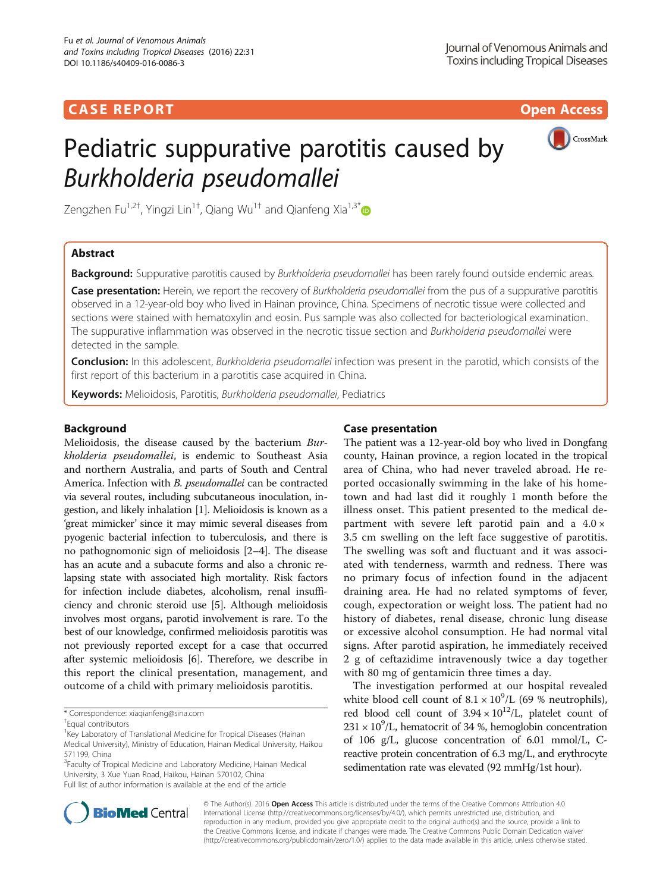## **CASE REPORT CASE REPORT CASE REPORT**

# Pediatric suppurative parotitis caused by Burkholderia pseudomallei



Zengzhen Fu<sup>1,2†</sup>, Yingzi Lin<sup>1†</sup>, Qiang Wu<sup>1†</sup> and Qianfeng Xia<sup>1,3\*</sup>

## Abstract

Background: Suppurative parotitis caused by Burkholderia pseudomallei has been rarely found outside endemic areas.

Case presentation: Herein, we report the recovery of Burkholderia pseudomallei from the pus of a suppurative parotitis observed in a 12-year-old boy who lived in Hainan province, China. Specimens of necrotic tissue were collected and sections were stained with hematoxylin and eosin. Pus sample was also collected for bacteriological examination. The suppurative inflammation was observed in the necrotic tissue section and Burkholderia pseudomallei were detected in the sample.

Conclusion: In this adolescent, Burkholderia pseudomallei infection was present in the parotid, which consists of the first report of this bacterium in a parotitis case acquired in China.

Keywords: Melioidosis, Parotitis, Burkholderia pseudomallei, Pediatrics

### Background

Melioidosis, the disease caused by the bacterium Burkholderia pseudomallei, is endemic to Southeast Asia and northern Australia, and parts of South and Central America. Infection with B. pseudomallei can be contracted via several routes, including subcutaneous inoculation, ingestion, and likely inhalation [\[1\]](#page-2-0). Melioidosis is known as a 'great mimicker' since it may mimic several diseases from pyogenic bacterial infection to tuberculosis, and there is no pathognomonic sign of melioidosis [\[2](#page-2-0)–[4](#page-2-0)]. The disease has an acute and a subacute forms and also a chronic relapsing state with associated high mortality. Risk factors for infection include diabetes, alcoholism, renal insufficiency and chronic steroid use [\[5](#page-2-0)]. Although melioidosis involves most organs, parotid involvement is rare. To the best of our knowledge, confirmed melioidosis parotitis was not previously reported except for a case that occurred after systemic melioidosis [[6](#page-2-0)]. Therefore, we describe in this report the clinical presentation, management, and outcome of a child with primary melioidosis parotitis.

<sup>3</sup>Faculty of Tropical Medicine and Laboratory Medicine, Hainan Medical University, 3 Xue Yuan Road, Haikou, Hainan 570102, China Full list of author information is available at the end of the article

## Case presentation

The patient was a 12-year-old boy who lived in Dongfang county, Hainan province, a region located in the tropical area of China, who had never traveled abroad. He reported occasionally swimming in the lake of his hometown and had last did it roughly 1 month before the illness onset. This patient presented to the medical department with severe left parotid pain and a 4.0 × 3.5 cm swelling on the left face suggestive of parotitis. The swelling was soft and fluctuant and it was associated with tenderness, warmth and redness. There was no primary focus of infection found in the adjacent draining area. He had no related symptoms of fever, cough, expectoration or weight loss. The patient had no history of diabetes, renal disease, chronic lung disease or excessive alcohol consumption. He had normal vital signs. After parotid aspiration, he immediately received 2 g of ceftazidime intravenously twice a day together with 80 mg of gentamicin three times a day.

The investigation performed at our hospital revealed white blood cell count of  $8.1 \times 10^9$ /L (69 % neutrophils), red blood cell count of  $3.94 \times 10^{12}$ /L, platelet count of  $231 \times 10^9$ /L, hematocrit of 34 %, hemoglobin concentration of 106 g/L, glucose concentration of 6.01 mmol/L, Creactive protein concentration of 6.3 mg/L, and erythrocyte sedimentation rate was elevated (92 mmHg/1st hour).



© The Author(s). 2016 Open Access This article is distributed under the terms of the Creative Commons Attribution 4.0 International License [\(http://creativecommons.org/licenses/by/4.0/](http://creativecommons.org/licenses/by/4.0/)), which permits unrestricted use, distribution, and reproduction in any medium, provided you give appropriate credit to the original author(s) and the source, provide a link to the Creative Commons license, and indicate if changes were made. The Creative Commons Public Domain Dedication waiver [\(http://creativecommons.org/publicdomain/zero/1.0/](http://creativecommons.org/publicdomain/zero/1.0/)) applies to the data made available in this article, unless otherwise stated.

<sup>\*</sup> Correspondence: [xiaqianfeng@sina.com](mailto:xiaqianfeng@sina.com) †

Equal contributors

<sup>&</sup>lt;sup>1</sup> Key Laboratory of Translational Medicine for Tropical Diseases (Hainan Medical University), Ministry of Education, Hainan Medical University, Haikou 571199, China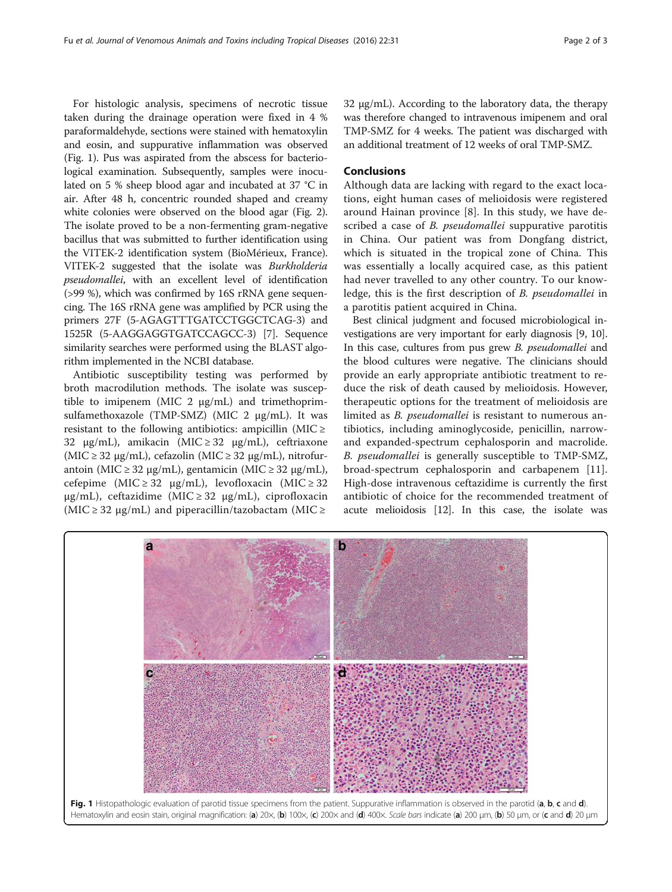For histologic analysis, specimens of necrotic tissue taken during the drainage operation were fixed in 4 % paraformaldehyde, sections were stained with hematoxylin and eosin, and suppurative inflammation was observed (Fig. 1). Pus was aspirated from the abscess for bacteriological examination. Subsequently, samples were inoculated on 5 % sheep blood agar and incubated at 37 °C in air. After 48 h, concentric rounded shaped and creamy white colonies were observed on the blood agar (Fig. [2](#page-2-0)). The isolate proved to be a non-fermenting gram-negative bacillus that was submitted to further identification using the VITEK-2 identification system (BioMérieux, France). VITEK-2 suggested that the isolate was Burkholderia pseudomallei, with an excellent level of identification (>99 %), which was confirmed by 16S rRNA gene sequencing. The 16S rRNA gene was amplified by PCR using the primers 27F (5-AGAGTTTGATCCTGGCTCAG-3) and 1525R (5-AAGGAGGTGATCCAGCC-3) [\[7](#page-2-0)]. Sequence similarity searches were performed using the BLAST algorithm implemented in the NCBI database.

Antibiotic susceptibility testing was performed by broth macrodilution methods. The isolate was susceptible to imipenem (MIC 2  $\mu$ g/mL) and trimethoprimsulfamethoxazole (TMP-SMZ) (MIC 2 μg/mL). It was resistant to the following antibiotics: ampicillin (MIC  $\ge$ 32 μg/mL), amikacin (MIC  $\ge$  32 μg/mL), ceftriaxone (MIC ≥ 32 μg/mL), cefazolin (MIC ≥ 32 μg/mL), nitrofurantoin (MIC  $\geq$  32 μg/mL), gentamicin (MIC  $\geq$  32 μg/mL), cefepime (MIC  $\geq$  32 µg/mL), levofloxacin (MIC  $\geq$  32 μg/mL), ceftazidime (MIC ≥ 32 μg/mL), ciprofloxacin (MIC  $\geq$  32 µg/mL) and piperacillin/tazobactam (MIC  $\geq$ 

32 μg/mL). According to the laboratory data, the therapy was therefore changed to intravenous imipenem and oral TMP-SMZ for 4 weeks. The patient was discharged with an additional treatment of 12 weeks of oral TMP-SMZ.

#### Conclusions

Although data are lacking with regard to the exact locations, eight human cases of melioidosis were registered around Hainan province [[8\]](#page-2-0). In this study, we have described a case of *B. pseudomallei* suppurative parotitis in China. Our patient was from Dongfang district, which is situated in the tropical zone of China. This was essentially a locally acquired case, as this patient had never travelled to any other country. To our knowledge, this is the first description of B. pseudomallei in a parotitis patient acquired in China.

Best clinical judgment and focused microbiological investigations are very important for early diagnosis [[9](#page-2-0), [10](#page-2-0)]. In this case, cultures from pus grew B. pseudomallei and the blood cultures were negative. The clinicians should provide an early appropriate antibiotic treatment to reduce the risk of death caused by melioidosis. However, therapeutic options for the treatment of melioidosis are limited as B. pseudomallei is resistant to numerous antibiotics, including aminoglycoside, penicillin, narrowand expanded-spectrum cephalosporin and macrolide. B. pseudomallei is generally susceptible to TMP-SMZ, broad-spectrum cephalosporin and carbapenem [\[11](#page-2-0)]. High-dose intravenous ceftazidime is currently the first antibiotic of choice for the recommended treatment of acute melioidosis [[12](#page-2-0)]. In this case, the isolate was